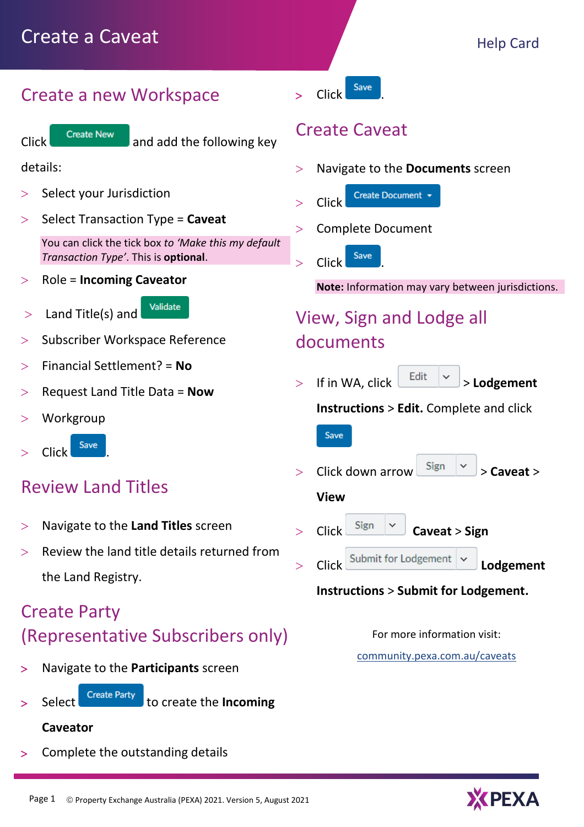## Create a new Workspace



# Create Caveat

- Navigate to the **Documents** screen
- Create Document  $>$  Click
- > Complete Document
- Click Save

**Note:** Information may vary between jurisdictions.

# View, Sign and Lodge all documents

 $>$  If in WA, click  $\left[\begin{array}{cc} \text{Edit} & \checkmark \end{array}\right] >$  **Lodgement** 

**Instructions** > **Edit.** Complete and click

Save

- Click down arrow  $\begin{vmatrix} \text{Sign} \\ \text{>} \end{vmatrix}$   $\geq$  **Caveat**  $\geq$ 
	- **View**
- Click **Caveat** > **Sign**  > Click Submit for Lodgement **| \clini Lodgement**

## **Instructions** > **Submit for Lodgement.**

For more information visit:

[community.pexa.com.au/caveats](https://community.pexa.com.au/t5/Help-Centre/Caveat-Help-Center-Articles/ba-p/7956)

| Click |  |
|-------|--|
|       |  |

Click Create New and add the following key

details:

- $>$  Select your Jurisdiction
- Select Transaction Type = Caveat

You can click the tick box *to 'Make this my default Transaction Type'*. This is **optional**.

Validate

- Role = **Incoming Caveator**
- $>$  Land Title(s) and
- Subscriber Workspace Reference
- Financial Settlement? = **No**
- Request Land Title Data = **Now**
- Workgroup
- Click Save

# Review Land Titles

- Navigate to the **Land Titles** screen
- $>$  Review the land title details returned from the Land Registry.

# Create Party (Representative Subscribers only)

- Navigate to the **Participants** screen
- - Select <sup>Create Party</sup> to create the **Incoming**

### **Caveator**

Complete the outstanding details